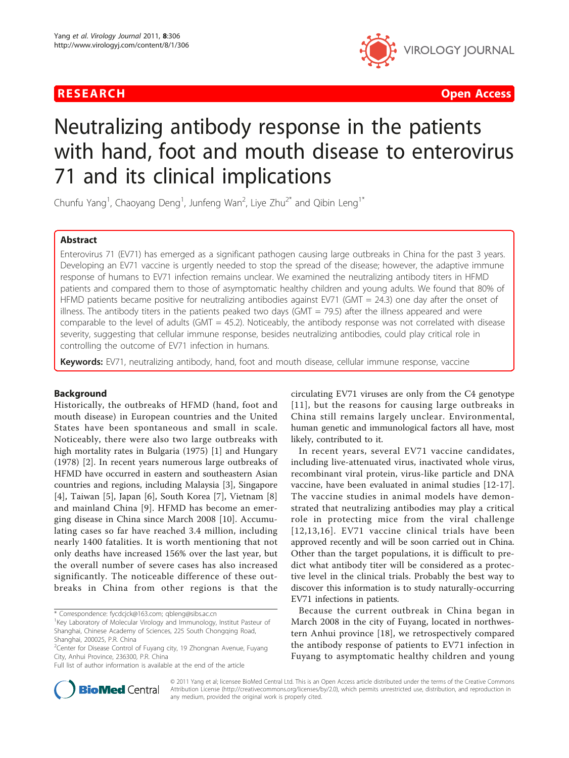

**RESEARCH Open Access Contract Contract Contract Contract Contract Contract Contract Contract Contract Contract Contract Contract Contract Contract Contract Contract Contract Contract Contract Contract Contract Contract** 

# Neutralizing antibody response in the patients with hand, foot and mouth disease to enterovirus 71 and its clinical implications

Chunfu Yang<sup>1</sup>, Chaoyang Deng<sup>1</sup>, Junfeng Wan<sup>2</sup>, Liye Zhu<sup>2\*</sup> and Qibin Leng<sup>1\*</sup>

# Abstract

Enterovirus 71 (EV71) has emerged as a significant pathogen causing large outbreaks in China for the past 3 years. Developing an EV71 vaccine is urgently needed to stop the spread of the disease; however, the adaptive immune response of humans to EV71 infection remains unclear. We examined the neutralizing antibody titers in HFMD patients and compared them to those of asymptomatic healthy children and young adults. We found that 80% of HFMD patients became positive for neutralizing antibodies against EV71 (GMT = 24.3) one day after the onset of illness. The antibody titers in the patients peaked two days (GMT = 79.5) after the illness appeared and were comparable to the level of adults (GMT = 45.2). Noticeably, the antibody response was not correlated with disease severity, suggesting that cellular immune response, besides neutralizing antibodies, could play critical role in controlling the outcome of EV71 infection in humans.

Keywords: EV71, neutralizing antibody, hand, foot and mouth disease, cellular immune response, vaccine

# Background

Historically, the outbreaks of HFMD (hand, foot and mouth disease) in European countries and the United States have been spontaneous and small in scale. Noticeably, there were also two large outbreaks with high mortality rates in Bulgaria (1975) [[1](#page-4-0)] and Hungary (1978) [[2\]](#page-4-0). In recent years numerous large outbreaks of HFMD have occurred in eastern and southeastern Asian countries and regions, including Malaysia [\[3](#page-4-0)], Singapore [[4\]](#page-4-0), Taiwan [[5\]](#page-4-0), Japan [\[6](#page-4-0)], South Korea [[7\]](#page-4-0), Vietnam [\[8](#page-5-0)] and mainland China [[9\]](#page-5-0). HFMD has become an emerging disease in China since March 2008 [[10\]](#page-5-0). Accumulating cases so far have reached 3.4 million, including nearly 1400 fatalities. It is worth mentioning that not only deaths have increased 156% over the last year, but the overall number of severe cases has also increased significantly. The noticeable difference of these outbreaks in China from other regions is that the

\* Correspondence: [fycdcjck@163.com;](mailto:fycdcjck@163.com) [qbleng@sibs.ac.cn](mailto:qbleng@sibs.ac.cn)

<sup>1</sup>Key Laboratory of Molecular Virology and Immunology, Institut Pasteur of Shanghai, Chinese Academy of Sciences, 225 South Chongqing Road, Shanghai, 200025, P.R. China

Full list of author information is available at the end of the article

circulating EV71 viruses are only from the C4 genotype [[11](#page-5-0)], but the reasons for causing large outbreaks in China still remains largely unclear. Environmental, human genetic and immunological factors all have, most likely, contributed to it.

In recent years, several EV71 vaccine candidates, including live-attenuated virus, inactivated whole virus, recombinant viral protein, virus-like particle and DNA vaccine, have been evaluated in animal studies [\[12](#page-5-0)-[17](#page-5-0)]. The vaccine studies in animal models have demonstrated that neutralizing antibodies may play a critical role in protecting mice from the viral challenge [[12](#page-5-0),[13](#page-5-0),[16\]](#page-5-0). EV71 vaccine clinical trials have been approved recently and will be soon carried out in China. Other than the target populations, it is difficult to predict what antibody titer will be considered as a protective level in the clinical trials. Probably the best way to discover this information is to study naturally-occurring EV71 infections in patients.

Because the current outbreak in China began in March 2008 in the city of Fuyang, located in northwestern Anhui province [\[18](#page-5-0)], we retrospectively compared the antibody response of patients to EV71 infection in Fuyang to asymptomatic healthy children and young



© 2011 Yang et al; licensee BioMed Central Ltd. This is an Open Access article distributed under the terms of the Creative Commons Attribution License [\(http://creativecommons.org/licenses/by/2.0](http://creativecommons.org/licenses/by/2.0)), which permits unrestricted use, distribution, and reproduction in any medium, provided the original work is properly cited.

<sup>&</sup>lt;sup>2</sup>Center for Disease Control of Fuyang city, 19 Zhongnan Avenue, Fuyang City, Anhui Province, 236300, P.R. China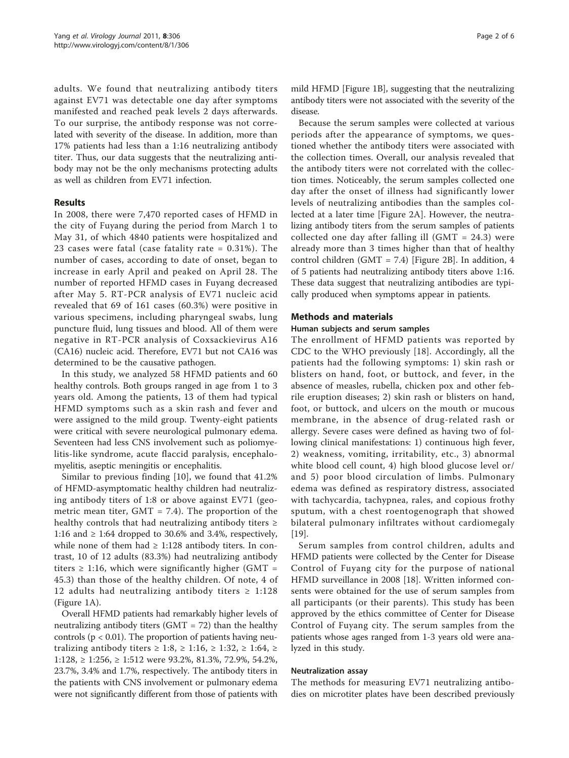adults. We found that neutralizing antibody titers against EV71 was detectable one day after symptoms manifested and reached peak levels 2 days afterwards. To our surprise, the antibody response was not correlated with severity of the disease. In addition, more than 17% patients had less than a 1:16 neutralizing antibody titer. Thus, our data suggests that the neutralizing antibody may not be the only mechanisms protecting adults as well as children from EV71 infection.

# Results

In 2008, there were 7,470 reported cases of HFMD in the city of Fuyang during the period from March 1 to May 31, of which 4840 patients were hospitalized and 23 cases were fatal (case fatality rate = 0.31%). The number of cases, according to date of onset, began to increase in early April and peaked on April 28. The number of reported HFMD cases in Fuyang decreased after May 5. RT-PCR analysis of EV71 nucleic acid revealed that 69 of 161 cases (60.3%) were positive in various specimens, including pharyngeal swabs, lung puncture fluid, lung tissues and blood. All of them were negative in RT-PCR analysis of Coxsackievirus A16 (CA16) nucleic acid. Therefore, EV71 but not CA16 was determined to be the causative pathogen.

In this study, we analyzed 58 HFMD patients and 60 healthy controls. Both groups ranged in age from 1 to 3 years old. Among the patients, 13 of them had typical HFMD symptoms such as a skin rash and fever and were assigned to the mild group. Twenty-eight patients were critical with severe neurological pulmonary edema. Seventeen had less CNS involvement such as poliomyelitis-like syndrome, acute flaccid paralysis, encephalomyelitis, aseptic meningitis or encephalitis.

Similar to previous finding [[10\]](#page-5-0), we found that 41.2% of HFMD-asymptomatic healthy children had neutralizing antibody titers of 1:8 or above against EV71 (geometric mean titer,  $GMT = 7.4$ ). The proportion of the healthy controls that had neutralizing antibody titers  $\geq$ 1:16 and  $\geq$  1:64 dropped to 30.6% and 3.4%, respectively, while none of them had  $\geq$  1:128 antibody titers. In contrast, 10 of 12 adults (83.3%) had neutralizing antibody titers  $\geq$  1:16, which were significantly higher (GMT = 45.3) than those of the healthy children. Of note, 4 of 12 adults had neutralizing antibody titers  $\geq 1:128$ (Figure [1A\)](#page-2-0).

Overall HFMD patients had remarkably higher levels of neutralizing antibody titers  $(GMT = 72)$  than the healthy controls ( $p < 0.01$ ). The proportion of patients having neutralizing antibody titers  $\geq 1:8$ ,  $\geq 1:16$ ,  $\geq 1:32$ ,  $\geq 1:64$ ,  $\geq$ 1:128, ≥ 1:256, ≥ 1:512 were 93.2%, 81.3%, 72.9%, 54.2%, 23.7%, 3.4% and 1.7%, respectively. The antibody titers in the patients with CNS involvement or pulmonary edema were not significantly different from those of patients with

mild HFMD [Figure [1B\]](#page-2-0), suggesting that the neutralizing antibody titers were not associated with the severity of the disease.

Because the serum samples were collected at various periods after the appearance of symptoms, we questioned whether the antibody titers were associated with the collection times. Overall, our analysis revealed that the antibody titers were not correlated with the collection times. Noticeably, the serum samples collected one day after the onset of illness had significantly lower levels of neutralizing antibodies than the samples collected at a later time [Figure [2A](#page-3-0)]. However, the neutralizing antibody titers from the serum samples of patients collected one day after falling ill  $(GMT = 24.3)$  were already more than 3 times higher than that of healthy control children (GMT = 7.4) [Figure [2B\]](#page-3-0). In addition, 4 of 5 patients had neutralizing antibody titers above 1:16. These data suggest that neutralizing antibodies are typically produced when symptoms appear in patients.

# Methods and materials

# Human subjects and serum samples

The enrollment of HFMD patients was reported by CDC to the WHO previously [\[18](#page-5-0)]. Accordingly, all the patients had the following symptoms: 1) skin rash or blisters on hand, foot, or buttock, and fever, in the absence of measles, rubella, chicken pox and other febrile eruption diseases; 2) skin rash or blisters on hand, foot, or buttock, and ulcers on the mouth or mucous membrane, in the absence of drug-related rash or allergy. Severe cases were defined as having two of following clinical manifestations: 1) continuous high fever, 2) weakness, vomiting, irritability, etc., 3) abnormal white blood cell count, 4) high blood glucose level or/ and 5) poor blood circulation of limbs. Pulmonary edema was defined as respiratory distress, associated with tachycardia, tachypnea, rales, and copious frothy sputum, with a chest roentogenograph that showed bilateral pulmonary infiltrates without cardiomegaly [[19\]](#page-5-0).

Serum samples from control children, adults and HFMD patients were collected by the Center for Disease Control of Fuyang city for the purpose of national HFMD surveillance in 2008 [\[18](#page-5-0)]. Written informed consents were obtained for the use of serum samples from all participants (or their parents). This study has been approved by the ethics committee of Center for Disease Control of Fuyang city. The serum samples from the patients whose ages ranged from 1-3 years old were analyzed in this study.

## Neutralization assay

The methods for measuring EV71 neutralizing antibodies on microtiter plates have been described previously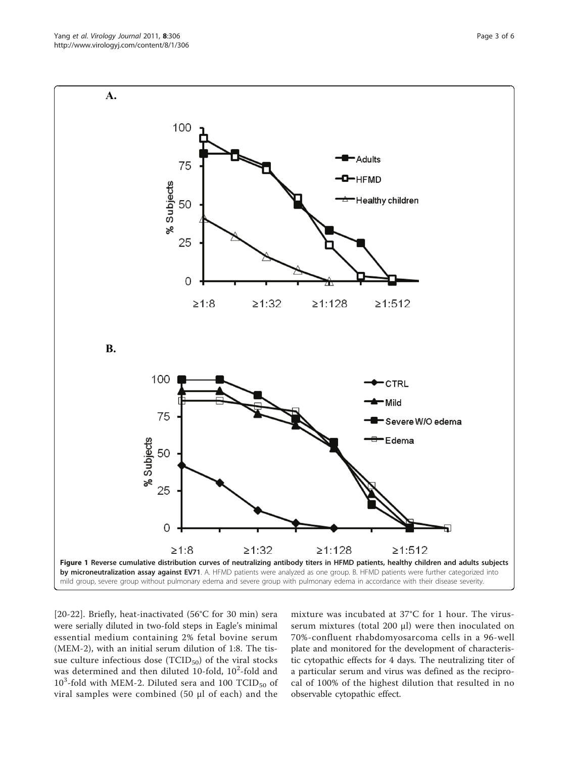[[20](#page-5-0)-[22\]](#page-5-0). Briefly, heat-inactivated (56°C for 30 min) sera were serially diluted in two-fold steps in Eagle's minimal essential medium containing 2% fetal bovine serum (MEM-2), with an initial serum dilution of 1:8. The tissue culture infectious dose  $(TCID_{50})$  of the viral stocks was determined and then diluted 10-fold,  $10^2$ -fold and  $10^3$ -fold with MEM-2. Diluted sera and 100 TCID<sub>50</sub> of viral samples were combined (50 μl of each) and the

mixture was incubated at 37°C for 1 hour. The virusserum mixtures (total 200 μl) were then inoculated on 70%-confluent rhabdomyosarcoma cells in a 96-well plate and monitored for the development of characteristic cytopathic effects for 4 days. The neutralizing titer of a particular serum and virus was defined as the reciprocal of 100% of the highest dilution that resulted in no observable cytopathic effect.

<span id="page-2-0"></span>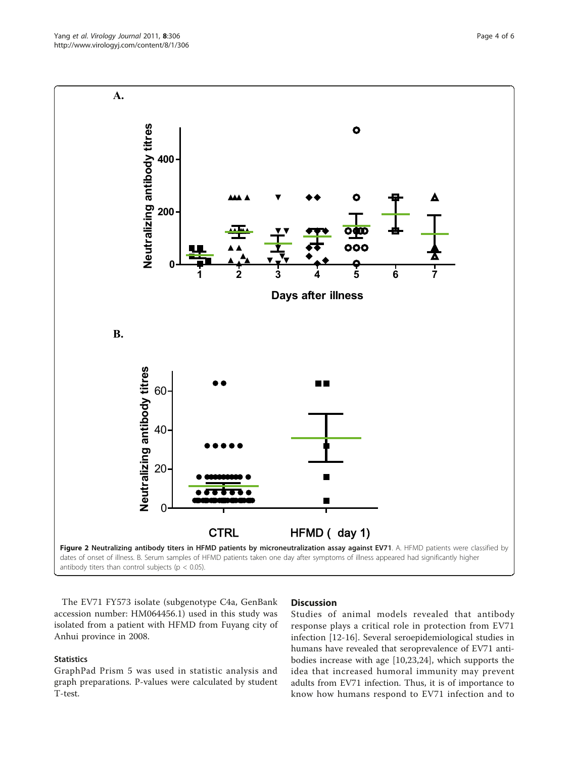<span id="page-3-0"></span>

The EV71 FY573 isolate (subgenotype C4a, GenBank accession number: [HM064456.1\)](http://www.ncbi.nih.gov/entrez/query.fcgi?db=Nucleotide&cmd=search&term=HM064456.1) used in this study was isolated from a patient with HFMD from Fuyang city of Anhui province in 2008.

# **Statistics**

GraphPad Prism 5 was used in statistic analysis and graph preparations. P-values were calculated by student T-test.

# **Discussion**

Studies of animal models revealed that antibody response plays a critical role in protection from EV71 infection [[12-16](#page-5-0)]. Several seroepidemiological studies in humans have revealed that seroprevalence of EV71 antibodies increase with age [\[10](#page-5-0),[23,24\]](#page-5-0), which supports the idea that increased humoral immunity may prevent adults from EV71 infection. Thus, it is of importance to know how humans respond to EV71 infection and to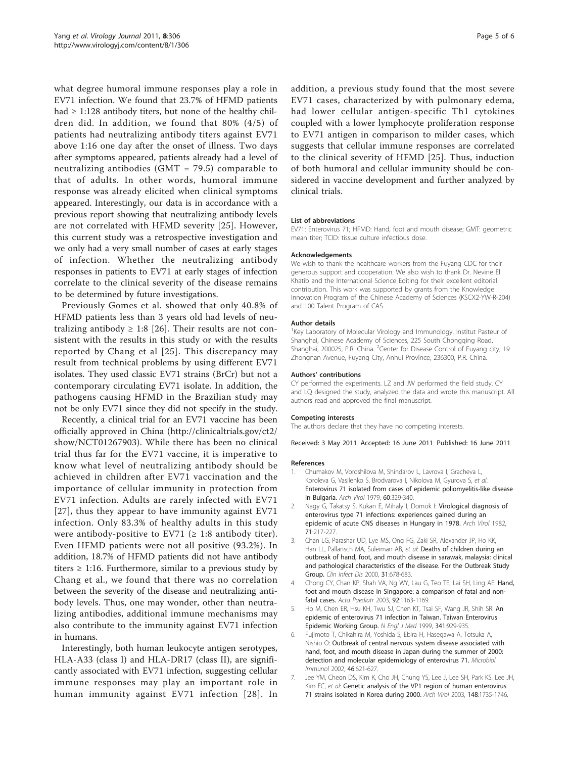<span id="page-4-0"></span>what degree humoral immune responses play a role in EV71 infection. We found that 23.7% of HFMD patients had  $\geq$  1:128 antibody titers, but none of the healthy children did. In addition, we found that 80% (4/5) of patients had neutralizing antibody titers against EV71 above 1:16 one day after the onset of illness. Two days after symptoms appeared, patients already had a level of neutralizing antibodies (GMT = 79.5) comparable to that of adults. In other words, humoral immune response was already elicited when clinical symptoms appeared. Interestingly, our data is in accordance with a previous report showing that neutralizing antibody levels are not correlated with HFMD severity [\[25\]](#page-5-0). However, this current study was a retrospective investigation and we only had a very small number of cases at early stages of infection. Whether the neutralizing antibody responses in patients to EV71 at early stages of infection correlate to the clinical severity of the disease remains to be determined by future investigations.

Previously Gomes et al. showed that only 40.8% of HFMD patients less than 3 years old had levels of neutralizing antibody  $\geq$  1:8 [[26\]](#page-5-0). Their results are not consistent with the results in this study or with the results reported by Chang et al [[25](#page-5-0)]. This discrepancy may result from technical problems by using different EV71 isolates. They used classic EV71 strains (BrCr) but not a contemporary circulating EV71 isolate. In addition, the pathogens causing HFMD in the Brazilian study may not be only EV71 since they did not specify in the study.

Recently, a clinical trial for an EV71 vaccine has been officially approved in China [\(http://clinicaltrials.gov/ct2/](http://clinicaltrials.gov/ct2/show/NCT01267903) [show/NCT01267903](http://clinicaltrials.gov/ct2/show/NCT01267903)). While there has been no clinical trial thus far for the EV71 vaccine, it is imperative to know what level of neutralizing antibody should be achieved in children after EV71 vaccination and the importance of cellular immunity in protection from EV71 infection. Adults are rarely infected with EV71 [[27](#page-5-0)], thus they appear to have immunity against EV71 infection. Only 83.3% of healthy adults in this study were antibody-positive to EV71 ( $\geq$  1:8 antibody titer). Even HFMD patients were not all positive (93.2%). In addition, 18.7% of HFMD patients did not have antibody titers  $\geq$  1:16. Furthermore, similar to a previous study by Chang et al., we found that there was no correlation between the severity of the disease and neutralizing antibody levels. Thus, one may wonder, other than neutralizing antibodies, additional immune mechanisms may also contribute to the immunity against EV71 infection in humans.

Interestingly, both human leukocyte antigen serotypes, HLA-A33 (class I) and HLA-DR17 (class II), are significantly associated with EV71 infection, suggesting cellular immune responses may play an important role in human immunity against EV71 infection [[28](#page-5-0)]. In

addition, a previous study found that the most severe EV71 cases, characterized by with pulmonary edema, had lower cellular antigen-specific Th1 cytokines coupled with a lower lymphocyte proliferation response to EV71 antigen in comparison to milder cases, which suggests that cellular immune responses are correlated to the clinical severity of HFMD [\[25](#page-5-0)]. Thus, induction of both humoral and cellular immunity should be considered in vaccine development and further analyzed by clinical trials.

### List of abbreviations

EV71: Enterovirus 71; HFMD: Hand, foot and mouth disease; GMT: geometric mean titer; TCID: tissue culture infectious dose.

#### Acknowledgements

We wish to thank the healthcare workers from the Fuyang CDC for their generous support and cooperation. We also wish to thank Dr. Nevine El Khatib and the International Science Editing for their excellent editorial contribution. This work was supported by grants from the Knowledge Innovation Program of the Chinese Academy of Sciences (KSCX2-YW-R-204) and 100 Talent Program of CAS.

#### Author details

<sup>1</sup>Key Laboratory of Molecular Virology and Immunology, Institut Pasteur of Shanghai, Chinese Academy of Sciences, 225 South Chongqing Road, Shanghai, 200025, P.R. China. <sup>2</sup> Center for Disease Control of Fuyang city, 19 Zhongnan Avenue, Fuyang City, Anhui Province, 236300, P.R. China.

#### Authors' contributions

CY performed the experiments. LZ and JW performed the field study. CY and LO designed the study, analyzed the data and wrote this manuscript. All authors read and approved the final manuscript.

#### Competing interests

The authors declare that they have no competing interests.

Received: 3 May 2011 Accepted: 16 June 2011 Published: 16 June 2011

#### References

- 1. Chumakov M, Voroshilova M, Shindarov L, Lavrova I, Gracheva L, Koroleva G, Vasilenko S, Brodvarova I, Nikolova M, Gyurova S, et al: [Enterovirus 71 isolated from cases of epidemic poliomyelitis-like disease](http://www.ncbi.nlm.nih.gov/pubmed/228639?dopt=Abstract) [in Bulgaria.](http://www.ncbi.nlm.nih.gov/pubmed/228639?dopt=Abstract) Arch Virol 1979, 60:329-340.
- 2. Nagy G, Takatsy S, Kukan E, Mihaly I, Domok I: [Virological diagnosis of](http://www.ncbi.nlm.nih.gov/pubmed/6285858?dopt=Abstract) [enterovirus type 71 infections: experiences gained during an](http://www.ncbi.nlm.nih.gov/pubmed/6285858?dopt=Abstract) [epidemic of acute CNS diseases in Hungary in 1978.](http://www.ncbi.nlm.nih.gov/pubmed/6285858?dopt=Abstract) Arch Virol 1982, 71:217-227.
- 3. Chan LG, Parashar UD, Lye MS, Ong FG, Zaki SR, Alexander JP, Ho KK, Han LL, Pallansch MA, Suleiman AB, et al: [Deaths of children during an](http://www.ncbi.nlm.nih.gov/pubmed/11017815?dopt=Abstract) [outbreak of hand, foot, and mouth disease in sarawak, malaysia: clinical](http://www.ncbi.nlm.nih.gov/pubmed/11017815?dopt=Abstract) [and pathological characteristics of the disease. For the Outbreak Study](http://www.ncbi.nlm.nih.gov/pubmed/11017815?dopt=Abstract) [Group.](http://www.ncbi.nlm.nih.gov/pubmed/11017815?dopt=Abstract) Clin Infect Dis 2000, 31:678-683.
- 4. Chong CY, Chan KP, Shah VA, Ng WY, Lau G, Teo TE, Lai SH, Ling AE: [Hand,](http://www.ncbi.nlm.nih.gov/pubmed/14632332?dopt=Abstract) [foot and mouth disease in Singapore: a comparison of fatal and non](http://www.ncbi.nlm.nih.gov/pubmed/14632332?dopt=Abstract)[fatal cases.](http://www.ncbi.nlm.nih.gov/pubmed/14632332?dopt=Abstract) Acta Paediatr 2003, 92:1163-1169.
- Ho M, Chen ER, Hsu KH, Twu SJ, Chen KT, Tsai SF, Wang JR, Shih SR: [An](http://www.ncbi.nlm.nih.gov/pubmed/10498487?dopt=Abstract) [epidemic of enterovirus 71 infection in Taiwan. Taiwan Enterovirus](http://www.ncbi.nlm.nih.gov/pubmed/10498487?dopt=Abstract) [Epidemic Working Group.](http://www.ncbi.nlm.nih.gov/pubmed/10498487?dopt=Abstract) N Engl J Med 1999, 341:929-935.
- 6. Fujimoto T, Chikahira M, Yoshida S, Ebira H, Hasegawa A, Totsuka A, Nishio O: [Outbreak of central nervous system disease associated with](http://www.ncbi.nlm.nih.gov/pubmed/12437029?dopt=Abstract) [hand, foot, and mouth disease in Japan during the summer of 2000:](http://www.ncbi.nlm.nih.gov/pubmed/12437029?dopt=Abstract) [detection and molecular epidemiology of enterovirus 71.](http://www.ncbi.nlm.nih.gov/pubmed/12437029?dopt=Abstract) Microbiol Immunol 2002, 46:621-627.
- 7. Jee YM, Cheon DS, Kim K, Cho JH, Chung YS, Lee J, Lee SH, Park KS, Lee JH, Kim EC, et al: [Genetic analysis of the VP1 region of human enterovirus](http://www.ncbi.nlm.nih.gov/pubmed/14505086?dopt=Abstract) [71 strains isolated in Korea during 2000.](http://www.ncbi.nlm.nih.gov/pubmed/14505086?dopt=Abstract) Arch Virol 2003, 148:1735-1746.